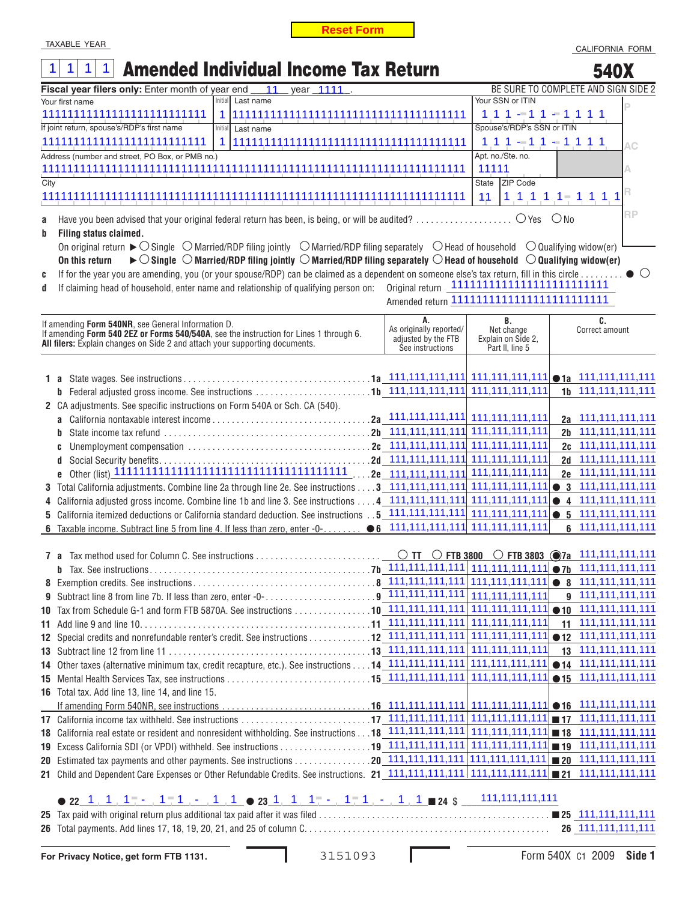## TAXABLE YEAR

|             | <b>Reset Form</b>                                                                                                                                                                                                                                                                                                                                                                                                                                                                                                                                                                                                                                                                                                    |                                                                          |                                                           |           |                                                   |                               |
|-------------|----------------------------------------------------------------------------------------------------------------------------------------------------------------------------------------------------------------------------------------------------------------------------------------------------------------------------------------------------------------------------------------------------------------------------------------------------------------------------------------------------------------------------------------------------------------------------------------------------------------------------------------------------------------------------------------------------------------------|--------------------------------------------------------------------------|-----------------------------------------------------------|-----------|---------------------------------------------------|-------------------------------|
|             | <b>TAXABLE YEAR</b>                                                                                                                                                                                                                                                                                                                                                                                                                                                                                                                                                                                                                                                                                                  |                                                                          |                                                           |           | CALIFORNIA FORM                                   |                               |
|             | <b>Amended Individual Income Tax Return</b><br>$\mathbf 1$<br>1                                                                                                                                                                                                                                                                                                                                                                                                                                                                                                                                                                                                                                                      |                                                                          |                                                           |           | 540X                                              |                               |
|             | year 1111<br>Fiscal year filers only: Enter month of year end __<br>11                                                                                                                                                                                                                                                                                                                                                                                                                                                                                                                                                                                                                                               |                                                                          | BE SURE TO COMPLETE AND SIGN SIDE 2                       |           |                                                   |                               |
|             | Initial<br>Last name<br>Your first name                                                                                                                                                                                                                                                                                                                                                                                                                                                                                                                                                                                                                                                                              |                                                                          | Your SSN or ITIN                                          |           |                                                   |                               |
|             | 11111111111111111111111111<br>1                                                                                                                                                                                                                                                                                                                                                                                                                                                                                                                                                                                                                                                                                      |                                                                          | $111 - 11 - 111$                                          |           |                                                   |                               |
|             | If joint return, spouse's/RDP's first name<br>Initial<br>Last name                                                                                                                                                                                                                                                                                                                                                                                                                                                                                                                                                                                                                                                   |                                                                          | Spouse's/RDP's SSN or ITIN                                |           |                                                   |                               |
|             | 11111111111111111111111111<br>1                                                                                                                                                                                                                                                                                                                                                                                                                                                                                                                                                                                                                                                                                      |                                                                          | $111 - 11 - 111$                                          |           |                                                   | AС                            |
|             | Address (number and street, PO Box, or PMB no.)                                                                                                                                                                                                                                                                                                                                                                                                                                                                                                                                                                                                                                                                      |                                                                          | Apt. no./Ste. no.                                         |           |                                                   |                               |
|             |                                                                                                                                                                                                                                                                                                                                                                                                                                                                                                                                                                                                                                                                                                                      |                                                                          | 11111                                                     |           |                                                   | А                             |
| City        |                                                                                                                                                                                                                                                                                                                                                                                                                                                                                                                                                                                                                                                                                                                      |                                                                          | ZIP Code<br>State                                         |           |                                                   |                               |
|             |                                                                                                                                                                                                                                                                                                                                                                                                                                                                                                                                                                                                                                                                                                                      |                                                                          | 11<br>$1 1 1 1 1 - 1 1 1 1$                               |           |                                                   |                               |
| a<br>b<br>C | Have you been advised that your original federal return has been, is being, or will be audited? $\bigcirc$ Yes $\bigcirc$ No<br>Filing status claimed.<br>On original return $\triangleright$ $\bigcirc$ Single $\bigcirc$ Married/RDP filing jointly $\bigcirc$ Married/RDP filing separately $\bigcirc$ Head of household $\bigcirc$ Qualifying widow(er)<br>$\blacktriangleright$ $\bigcirc$ Single $\bigcirc$ Married/RDP filing jointly $\bigcirc$ Married/RDP filing separately $\bigcirc$ Head of household $\ \bigcirc$ Qualifying widow(er)<br>On this return<br>If for the year you are amending, you (or your spouse/RDP) can be claimed as a dependent on someone else's tax return, fill in this circle |                                                                          |                                                           |           |                                                   | <b>RP</b><br>$\left( \right)$ |
| d           | If claiming head of household, enter name and relationship of qualifying person on:                                                                                                                                                                                                                                                                                                                                                                                                                                                                                                                                                                                                                                  |                                                                          |                                                           |           |                                                   |                               |
|             |                                                                                                                                                                                                                                                                                                                                                                                                                                                                                                                                                                                                                                                                                                                      |                                                                          |                                                           |           |                                                   |                               |
|             | If amending Form 540NR, see General Information D.<br>If amending Form 540 2EZ or Forms 540/540A, see the instruction for Lines 1 through 6.<br>All filers: Explain changes on Side 2 and attach your supporting documents.                                                                                                                                                                                                                                                                                                                                                                                                                                                                                          | А.<br>As originally reported/<br>adjusted by the FTB<br>See instructions | В.<br>Net change<br>Explain on Side 2,<br>Part II, line 5 |           | C.<br>Correct amount                              |                               |
|             |                                                                                                                                                                                                                                                                                                                                                                                                                                                                                                                                                                                                                                                                                                                      |                                                                          |                                                           |           |                                                   |                               |
|             | 1 a                                                                                                                                                                                                                                                                                                                                                                                                                                                                                                                                                                                                                                                                                                                  |                                                                          |                                                           |           |                                                   |                               |
|             | Federal adjusted gross income. See instructions 1b 111,111,111,111,111<br>b                                                                                                                                                                                                                                                                                                                                                                                                                                                                                                                                                                                                                                          |                                                                          | 111, 111, 111, 111                                        |           | 1b 111, 111, 111, 111                             |                               |
|             | 2 CA adjustments. See specific instructions on Form 540A or Sch. CA (540).                                                                                                                                                                                                                                                                                                                                                                                                                                                                                                                                                                                                                                           |                                                                          |                                                           |           |                                                   |                               |
|             | a                                                                                                                                                                                                                                                                                                                                                                                                                                                                                                                                                                                                                                                                                                                    | $2a$ 111,111,111,111                                                     | 111, 111, 111, 111                                        |           | 2a 111,111,111,111                                |                               |
|             | b                                                                                                                                                                                                                                                                                                                                                                                                                                                                                                                                                                                                                                                                                                                    |                                                                          | 111, 111, 111, 111                                        |           | 2b 111,111,111,111                                |                               |
|             | C                                                                                                                                                                                                                                                                                                                                                                                                                                                                                                                                                                                                                                                                                                                    |                                                                          | 111, 111, 111, 111                                        |           | 2c 111,111,111,111                                |                               |
|             | d                                                                                                                                                                                                                                                                                                                                                                                                                                                                                                                                                                                                                                                                                                                    |                                                                          | 111, 111, 111, 111                                        |           | 2d 111,111,111,111                                |                               |
|             | 6                                                                                                                                                                                                                                                                                                                                                                                                                                                                                                                                                                                                                                                                                                                    | .2e 111,111,111,111                                                      | 111, 111, 111, 111<br>111, 111, 111, 111                  |           | 2e 111,111,111,111<br>$\bullet$ 3 111,111,111,111 |                               |
| 3.<br>4     | Total California adjustments. Combine line 2a through line 2e. See instructions 3 111,111,111,111<br>California adjusted gross income. Combine line 1b and line 3. See instructions 4 111,111,111,111                                                                                                                                                                                                                                                                                                                                                                                                                                                                                                                |                                                                          | 111, 111, 111, 111                                        |           | $\bullet$ 4 111,111,111,111                       |                               |
| 5           | California itemized deductions or California standard deduction. See instructions 5 111,111,111,111                                                                                                                                                                                                                                                                                                                                                                                                                                                                                                                                                                                                                  |                                                                          | 111, 111, 111, 111                                        | $\bullet$ | 5 111,111,111,111                                 |                               |
| 6           | Taxable income. Subtract line 5 from line 4. If less than zero, enter -0-                                                                                                                                                                                                                                                                                                                                                                                                                                                                                                                                                                                                                                            | $\bullet$ 6 111,111,111,111                                              | 111, 111, 111, 111                                        |           | 6 111,111,111,111                                 |                               |
|             |                                                                                                                                                                                                                                                                                                                                                                                                                                                                                                                                                                                                                                                                                                                      |                                                                          |                                                           |           |                                                   |                               |
|             |                                                                                                                                                                                                                                                                                                                                                                                                                                                                                                                                                                                                                                                                                                                      | $\circ$ TT $\circ$ FTB 3800                                              | ○ FTB 3803 $\odot$ 7a 111,111,111,111                     |           |                                                   |                               |
|             | b                                                                                                                                                                                                                                                                                                                                                                                                                                                                                                                                                                                                                                                                                                                    |                                                                          |                                                           |           | $\bullet$ 7b 111,111,111,111                      |                               |
|             |                                                                                                                                                                                                                                                                                                                                                                                                                                                                                                                                                                                                                                                                                                                      |                                                                          |                                                           |           | $\bullet$ 8 111,111,111,111                       |                               |
| 9.          |                                                                                                                                                                                                                                                                                                                                                                                                                                                                                                                                                                                                                                                                                                                      |                                                                          |                                                           |           | g 111,111,111,111                                 |                               |
|             |                                                                                                                                                                                                                                                                                                                                                                                                                                                                                                                                                                                                                                                                                                                      |                                                                          |                                                           |           | $\bullet$ 10 111,111,111,111                      |                               |
|             |                                                                                                                                                                                                                                                                                                                                                                                                                                                                                                                                                                                                                                                                                                                      |                                                                          |                                                           |           | 11 111, 111, 111, 111                             |                               |
|             |                                                                                                                                                                                                                                                                                                                                                                                                                                                                                                                                                                                                                                                                                                                      |                                                                          |                                                           |           | $\bullet$ 12 111,111,111,111                      |                               |
|             |                                                                                                                                                                                                                                                                                                                                                                                                                                                                                                                                                                                                                                                                                                                      |                                                                          |                                                           |           | 13 111, 111, 111, 111                             |                               |
|             |                                                                                                                                                                                                                                                                                                                                                                                                                                                                                                                                                                                                                                                                                                                      |                                                                          |                                                           |           | $•14$ 111, 111, 111, 111                          |                               |
|             |                                                                                                                                                                                                                                                                                                                                                                                                                                                                                                                                                                                                                                                                                                                      |                                                                          |                                                           |           | $•15$ 111,111,111,111                             |                               |
|             | 16 Total tax. Add line 13, line 14, and line 15.                                                                                                                                                                                                                                                                                                                                                                                                                                                                                                                                                                                                                                                                     |                                                                          |                                                           |           |                                                   |                               |
|             |                                                                                                                                                                                                                                                                                                                                                                                                                                                                                                                                                                                                                                                                                                                      |                                                                          |                                                           |           |                                                   |                               |
|             |                                                                                                                                                                                                                                                                                                                                                                                                                                                                                                                                                                                                                                                                                                                      |                                                                          |                                                           |           |                                                   |                               |
| 18          |                                                                                                                                                                                                                                                                                                                                                                                                                                                                                                                                                                                                                                                                                                                      |                                                                          |                                                           |           |                                                   |                               |
|             |                                                                                                                                                                                                                                                                                                                                                                                                                                                                                                                                                                                                                                                                                                                      |                                                                          |                                                           |           |                                                   |                               |
|             |                                                                                                                                                                                                                                                                                                                                                                                                                                                                                                                                                                                                                                                                                                                      |                                                                          |                                                           |           |                                                   |                               |
|             |                                                                                                                                                                                                                                                                                                                                                                                                                                                                                                                                                                                                                                                                                                                      |                                                                          |                                                           |           |                                                   |                               |
|             | ● 22 1 1 1 1 - 1 1 1 1 1 1 23 1 1 1 - 1 1 1 1 1 1 1 24 \$ $111,111,1111$                                                                                                                                                                                                                                                                                                                                                                                                                                                                                                                                                                                                                                             |                                                                          |                                                           |           |                                                   |                               |
|             |                                                                                                                                                                                                                                                                                                                                                                                                                                                                                                                                                                                                                                                                                                                      |                                                                          |                                                           |           |                                                   |                               |
|             |                                                                                                                                                                                                                                                                                                                                                                                                                                                                                                                                                                                                                                                                                                                      |                                                                          |                                                           |           |                                                   |                               |

## **<sup>22</sup>**\_\_\_\_\_\_\_\_\_\_\_\_\_\_\_\_\_\_\_\_\_\_\_\_\_\_\_\_\_\_\_\_\_\_ **<sup>23</sup>**\_\_\_\_\_\_\_\_\_\_\_\_\_\_\_\_\_\_\_\_\_\_\_\_\_\_\_\_\_\_\_\_\_ **<sup>24</sup>** \$ \_\_\_\_\_\_\_\_\_\_\_\_\_\_\_\_\_\_\_\_ 1 1 1 - 1 1 - 1 1  $\bullet$  23 1 1  $1 - 1$   $\bullet$  1  $1$  - 1  $1$   $\bullet$  1  $\bullet$  23 1  $\bullet$  1  $\bullet$  1  $\bullet$  1  $\bullet$  1  $\bullet$  1  $\bullet$  1  $\bullet$  24  $\circ$  111,111,111,111,111

|  | 26 111,111,111,111 |
|--|--------------------|